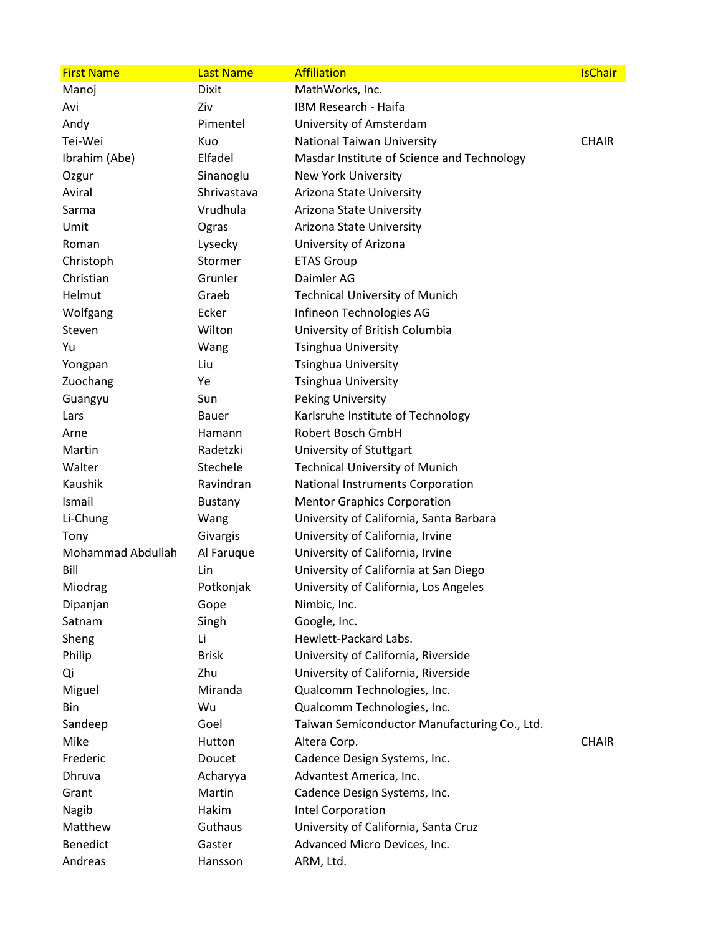| <b>First Name</b> | <b>Last Name</b> | <b>Affiliation</b>                           | <b>IsChair</b> |
|-------------------|------------------|----------------------------------------------|----------------|
| Manoj             | <b>Dixit</b>     | MathWorks, Inc.                              |                |
| Avi               | Ziv              | IBM Research - Haifa                         |                |
| Andy              | Pimentel         | University of Amsterdam                      |                |
| Tei-Wei           | Kuo              | National Taiwan University                   | <b>CHAIR</b>   |
| Ibrahim (Abe)     | Elfadel          | Masdar Institute of Science and Technology   |                |
| Ozgur             | Sinanoglu        | New York University                          |                |
| Aviral            | Shrivastava      | Arizona State University                     |                |
| Sarma             | Vrudhula         | Arizona State University                     |                |
| Umit              | Ogras            | Arizona State University                     |                |
| Roman             | Lysecky          | University of Arizona                        |                |
| Christoph         | Stormer          | <b>ETAS Group</b>                            |                |
| Christian         | Grunler          | Daimler AG                                   |                |
| Helmut            | Graeb            | <b>Technical University of Munich</b>        |                |
| Wolfgang          | Ecker            | Infineon Technologies AG                     |                |
| Steven            | Wilton           | University of British Columbia               |                |
| Yu                | Wang             | <b>Tsinghua University</b>                   |                |
| Yongpan           | Liu              | <b>Tsinghua University</b>                   |                |
| Zuochang          | Ye               | <b>Tsinghua University</b>                   |                |
| Guangyu           | Sun              | <b>Peking University</b>                     |                |
| Lars              | Bauer            | Karlsruhe Institute of Technology            |                |
| Arne              | Hamann           | Robert Bosch GmbH                            |                |
| Martin            | Radetzki         | University of Stuttgart                      |                |
| Walter            | Stechele         | <b>Technical University of Munich</b>        |                |
| Kaushik           | Ravindran        | National Instruments Corporation             |                |
| Ismail            | Bustany          | <b>Mentor Graphics Corporation</b>           |                |
| Li-Chung          | Wang             | University of California, Santa Barbara      |                |
| Tony              | Givargis         | University of California, Irvine             |                |
| Mohammad Abdullah | Al Faruque       | University of California, Irvine             |                |
| Bill              | Lin              | University of California at San Diego        |                |
| Miodrag           | Potkonjak        | University of California, Los Angeles        |                |
| Dipanjan          | Gope             | Nimbic, Inc.                                 |                |
| Satnam            | Singh            | Google, Inc.                                 |                |
| Sheng             | Li               | Hewlett-Packard Labs.                        |                |
| Philip            | <b>Brisk</b>     | University of California, Riverside          |                |
| Qi                | Zhu              | University of California, Riverside          |                |
| Miguel            | Miranda          | Qualcomm Technologies, Inc.                  |                |
| Bin               | Wu               | Qualcomm Technologies, Inc.                  |                |
| Sandeep           | Goel             | Taiwan Semiconductor Manufacturing Co., Ltd. |                |
| Mike              | Hutton           | Altera Corp.                                 | <b>CHAIR</b>   |
| Frederic          | Doucet           | Cadence Design Systems, Inc.                 |                |
| Dhruva            | Acharyya         | Advantest America, Inc.                      |                |
| Grant             | Martin           | Cadence Design Systems, Inc.                 |                |
| Nagib             | Hakim            | Intel Corporation                            |                |
| Matthew           | Guthaus          | University of California, Santa Cruz         |                |
| <b>Benedict</b>   | Gaster           | Advanced Micro Devices, Inc.                 |                |
| Andreas           | Hansson          | ARM, Ltd.                                    |                |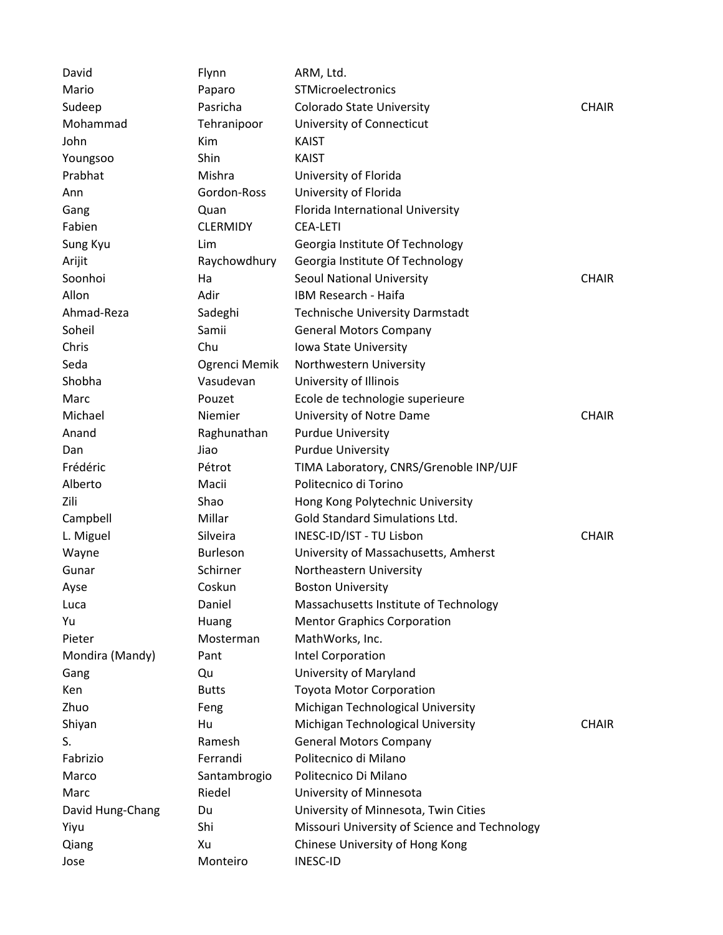| David            | Flynn           | ARM, Ltd.                                     |              |
|------------------|-----------------|-----------------------------------------------|--------------|
| Mario            | Paparo          | STMicroelectronics                            |              |
| Sudeep           | Pasricha        | Colorado State University                     | <b>CHAIR</b> |
| Mohammad         | Tehranipoor     | University of Connecticut                     |              |
| John             | Kim             | <b>KAIST</b>                                  |              |
| Youngsoo         | Shin            | <b>KAIST</b>                                  |              |
| Prabhat          | Mishra          | University of Florida                         |              |
| Ann              | Gordon-Ross     | University of Florida                         |              |
| Gang             | Quan            | Florida International University              |              |
| Fabien           | <b>CLERMIDY</b> | <b>CEA-LETI</b>                               |              |
| Sung Kyu         | Lim             | Georgia Institute Of Technology               |              |
| Arijit           | Raychowdhury    | Georgia Institute Of Technology               |              |
| Soonhoi          | Ha              | Seoul National University                     | <b>CHAIR</b> |
| Allon            | Adir            | IBM Research - Haifa                          |              |
| Ahmad-Reza       | Sadeghi         | <b>Technische University Darmstadt</b>        |              |
| Soheil           | Samii           | <b>General Motors Company</b>                 |              |
| Chris            | Chu             | Iowa State University                         |              |
| Seda             | Ogrenci Memik   | Northwestern University                       |              |
| Shobha           | Vasudevan       | University of Illinois                        |              |
| Marc             | Pouzet          | Ecole de technologie superieure               |              |
| Michael          | Niemier         | University of Notre Dame                      | <b>CHAIR</b> |
| Anand            | Raghunathan     | <b>Purdue University</b>                      |              |
| Dan              | Jiao            | <b>Purdue University</b>                      |              |
| Frédéric         | Pétrot          | TIMA Laboratory, CNRS/Grenoble INP/UJF        |              |
| Alberto          | Macii           | Politecnico di Torino                         |              |
| Zili             | Shao            | Hong Kong Polytechnic University              |              |
| Campbell         | Millar          | Gold Standard Simulations Ltd.                |              |
| L. Miguel        | Silveira        | INESC-ID/IST - TU Lisbon                      | <b>CHAIR</b> |
| Wayne            | Burleson        | University of Massachusetts, Amherst          |              |
| Gunar            | Schirner        | Northeastern University                       |              |
| Ayse             | Coskun          | <b>Boston University</b>                      |              |
| Luca             | Daniel          | Massachusetts Institute of Technology         |              |
| Yu               | Huang           | <b>Mentor Graphics Corporation</b>            |              |
| Pieter           | Mosterman       | MathWorks, Inc.                               |              |
| Mondira (Mandy)  | Pant            | Intel Corporation                             |              |
| Gang             | Qu              | University of Maryland                        |              |
| Ken              | <b>Butts</b>    | <b>Toyota Motor Corporation</b>               |              |
| Zhuo             | Feng            | Michigan Technological University             |              |
| Shiyan           | Hu              | Michigan Technological University             | <b>CHAIR</b> |
| S.               | Ramesh          | <b>General Motors Company</b>                 |              |
| Fabrizio         | Ferrandi        | Politecnico di Milano                         |              |
| Marco            | Santambrogio    | Politecnico Di Milano                         |              |
| Marc             | Riedel          | University of Minnesota                       |              |
| David Hung-Chang | Du              | University of Minnesota, Twin Cities          |              |
| Yiyu             | Shi             | Missouri University of Science and Technology |              |
| Qiang            | Xu              | Chinese University of Hong Kong               |              |
| Jose             | Monteiro        | <b>INESC-ID</b>                               |              |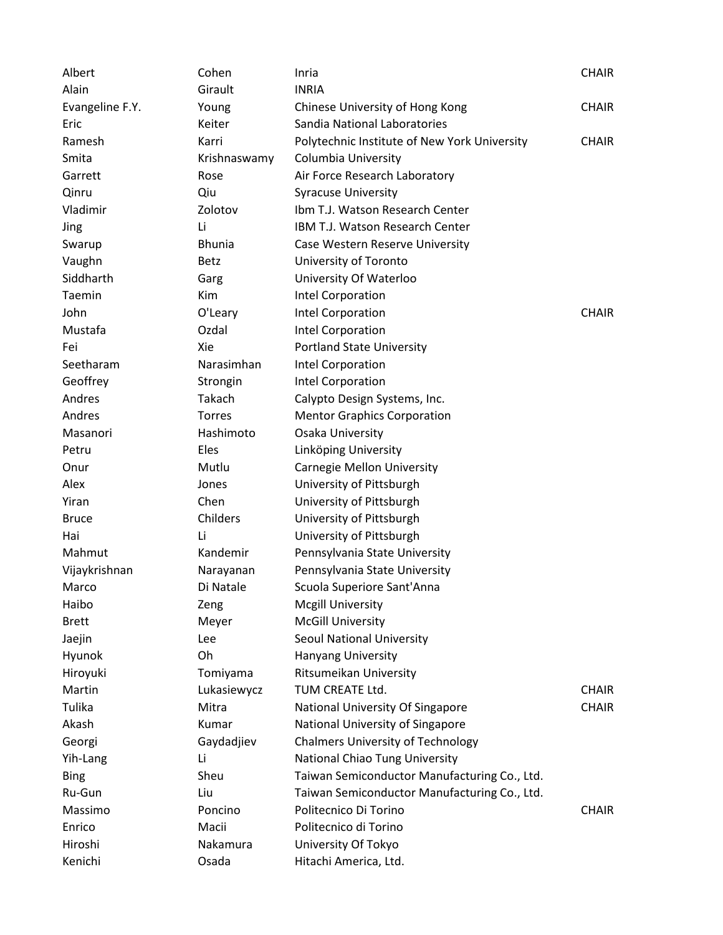| Albert          | Cohen         | Inria                                        | <b>CHAIR</b> |
|-----------------|---------------|----------------------------------------------|--------------|
| Alain           | Girault       | <b>INRIA</b>                                 |              |
| Evangeline F.Y. | Young         | Chinese University of Hong Kong              | <b>CHAIR</b> |
| Eric            | Keiter        | Sandia National Laboratories                 |              |
| Ramesh          | Karri         | Polytechnic Institute of New York University | <b>CHAIR</b> |
| Smita           | Krishnaswamy  | Columbia University                          |              |
| Garrett         | Rose          | Air Force Research Laboratory                |              |
| Qinru           | Qiu           | <b>Syracuse University</b>                   |              |
| Vladimir        | Zolotov       | Ibm T.J. Watson Research Center              |              |
| Jing            | Li            | <b>IBM T.J. Watson Research Center</b>       |              |
| Swarup          | <b>Bhunia</b> | Case Western Reserve University              |              |
| Vaughn          | <b>Betz</b>   | University of Toronto                        |              |
| Siddharth       | Garg          | University Of Waterloo                       |              |
| Taemin          | Kim           | Intel Corporation                            |              |
| John            | O'Leary       | Intel Corporation                            | <b>CHAIR</b> |
| Mustafa         | Ozdal         | Intel Corporation                            |              |
| Fei             | Xie           | <b>Portland State University</b>             |              |
| Seetharam       | Narasimhan    | Intel Corporation                            |              |
| Geoffrey        | Strongin      | Intel Corporation                            |              |
| Andres          | Takach        | Calypto Design Systems, Inc.                 |              |
| Andres          | Torres        | <b>Mentor Graphics Corporation</b>           |              |
| Masanori        | Hashimoto     | Osaka University                             |              |
| Petru           | Eles          | Linköping University                         |              |
| Onur            | Mutlu         | <b>Carnegie Mellon University</b>            |              |
| Alex            | Jones         | University of Pittsburgh                     |              |
| Yiran           | Chen          | University of Pittsburgh                     |              |
| <b>Bruce</b>    | Childers      | University of Pittsburgh                     |              |
| Hai             | Li            | University of Pittsburgh                     |              |
| Mahmut          | Kandemir      | Pennsylvania State University                |              |
| Vijaykrishnan   | Narayanan     | Pennsylvania State University                |              |
| Marco           | Di Natale     | Scuola Superiore Sant'Anna                   |              |
| Haibo           | Zeng          | <b>Mcgill University</b>                     |              |
| <b>Brett</b>    | Meyer         | <b>McGill University</b>                     |              |
| Jaejin          | Lee           | <b>Seoul National University</b>             |              |
| Hyunok          | Oh            | Hanyang University                           |              |
| Hiroyuki        | Tomiyama      | Ritsumeikan University                       |              |
| Martin          | Lukasiewycz   | TUM CREATE Ltd.                              | <b>CHAIR</b> |
| Tulika          | Mitra         | National University Of Singapore             | <b>CHAIR</b> |
| Akash           | Kumar         | National University of Singapore             |              |
| Georgi          | Gaydadjiev    | <b>Chalmers University of Technology</b>     |              |
| Yih-Lang        | Li            | National Chiao Tung University               |              |
| <b>Bing</b>     | Sheu          | Taiwan Semiconductor Manufacturing Co., Ltd. |              |
| Ru-Gun          | Liu           | Taiwan Semiconductor Manufacturing Co., Ltd. |              |
| Massimo         | Poncino       | Politecnico Di Torino                        | <b>CHAIR</b> |
| Enrico          | Macii         | Politecnico di Torino                        |              |
| Hiroshi         | Nakamura      | University Of Tokyo                          |              |
| Kenichi         | Osada         | Hitachi America, Ltd.                        |              |